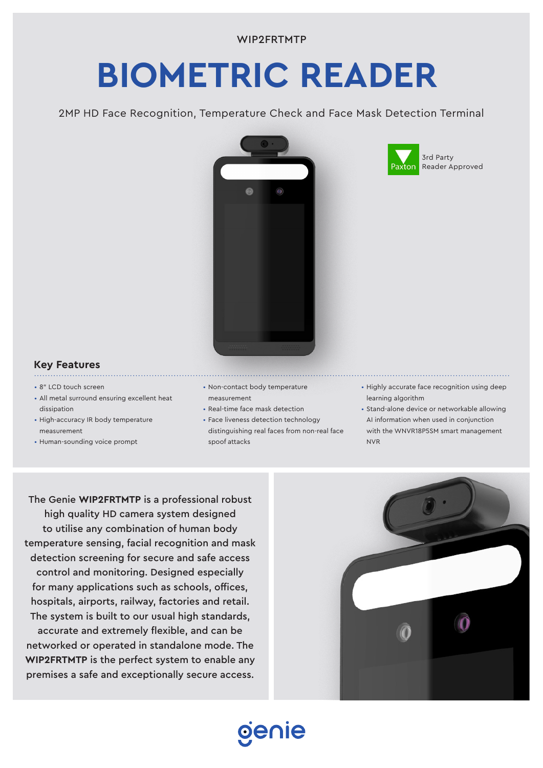# **BIOMETRIC READER**

2MP HD Face Recognition, Temperature Check and Face Mask Detection Terminal





## **Key Features**

- 8" LCD touch screen
- All metal surround ensuring excellent heat dissipation
- High-accuracy IR body temperature measurement

- Human-sounding voice prompt
- Non-contact body temperature measurement

- Real-time face mask detection
- Face liveness detection technology distinguishing real faces from non-real face spoof attacks

oenie

- Highly accurate face recognition using deep learning algorithm
- Stand-alone device or networkable allowing AI information when used in conjunction with the WNVR18P5SM smart management NVR

The Genie **WIP2FRTMTP** is a professional robust high quality HD camera system designed to utilise any combination of human body temperature sensing, facial recognition and mask detection screening for secure and safe access control and monitoring. Designed especially for many applications such as schools, offices, hospitals, airports, railway, factories and retail. The system is built to our usual high standards, accurate and extremely flexible, and can be networked or operated in standalone mode. The **WIP2FRTMTP** is the perfect system to enable any premises a safe and exceptionally secure access.

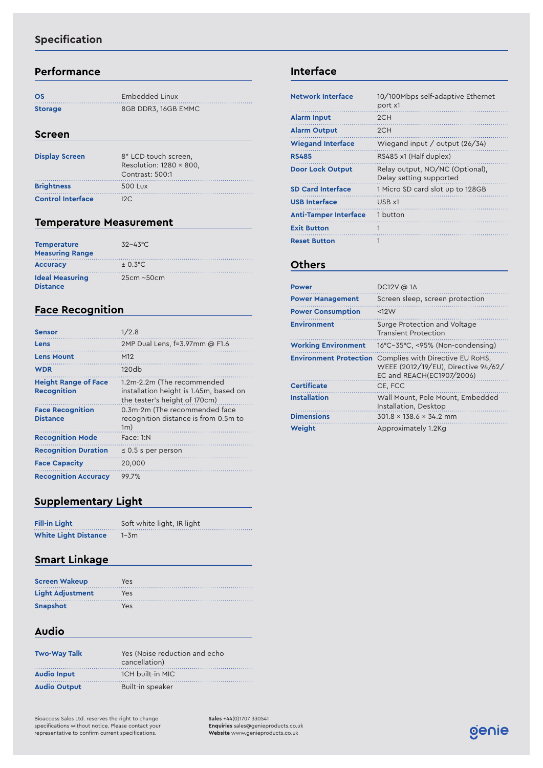# **Specification**

### **Performance**

| <b>OS</b>      | Embedded Linux      |
|----------------|---------------------|
| <b>Storage</b> | 8GB DDR3, 16GB EMMC |

#### **Screen**

| <b>Display Screen</b>    | 8" LCD touch screen.<br>Resolution: $1280 \times 800$ .<br>Contrast: 500:1 |
|--------------------------|----------------------------------------------------------------------------|
| <b>Brightness</b>        | 500 Lux                                                                    |
| <b>Control Interface</b> | 12C.                                                                       |

# **Temperature Measurement**

| <b>Temperature</b><br><b>Measuring Range</b> | $32 - 43$ °C.    |
|----------------------------------------------|------------------|
| <b>Accuracy</b>                              | $+ 0.3$ °C.      |
| <b>Ideal Measuring</b><br><b>Distance</b>    | $25cm \sim 50cm$ |

# **Face Recognition**

| <b>Sensor</b>                                     | 1/2.8                                                                                                 |
|---------------------------------------------------|-------------------------------------------------------------------------------------------------------|
| Lens                                              | 2MP Dual Lens, f=3.97mm @ F1.6                                                                        |
| <b>Lens Mount</b>                                 | M <sub>12</sub>                                                                                       |
| <b>WDR</b>                                        | 120db                                                                                                 |
| <b>Height Range of Face</b><br><b>Recognition</b> | 1.2m-2.2m (The recommended<br>installation height is 1.45m, based on<br>the tester's height of 170cm) |
| <b>Face Recognition</b><br><b>Distance</b>        | 0.3m-2m (The recommended face<br>recognition distance is from 0.5m to<br>1m)                          |
| <b>Recognition Mode</b>                           | Face: 1:N                                                                                             |
| <b>Recognition Duration</b>                       | $\leq$ 0.5 s per person                                                                               |
| <b>Face Capacity</b>                              | 20,000                                                                                                |
| <b>Recognition Accuracy</b>                       | 99.7%                                                                                                 |

# **Supplementary Light**

| <b>Fill-in Light</b>        | Soft white light, IR light |
|-----------------------------|----------------------------|
| <b>White Light Distance</b> | $1 - 3m$                   |

## **Smart Linkage**

| <b>Screen Wakeup</b>    | Yes |
|-------------------------|-----|
| <b>Light Adiustment</b> | Yes |
| Snapshot                | Yes |

### **Audio**

| <b>Two-Way Talk</b> | Yes (Noise reduction and echo<br>cancellation) |
|---------------------|------------------------------------------------|
| <b>Audio Input</b>  | 1CH built-in MIC                               |
| <b>Audio Output</b> | Built-in speaker                               |

Bioaccess Sales Ltd. reserves the right to change specifications without notice. Please contact your representative to confirm current specifications.

**Sales** +44(0)1707 330541 **Enquiries** [sales@genieproducts.co.uk](mailto:sales%40genieproducts.co.uk?subject=Product%20Enquiry) **Website** [www.genieproducts.co.uk](https://www.genieproducts.co.uk)

## **Interface**

| <b>Network Interface</b>     | 10/100Mbps self-adaptive Ethernet<br>port x1               |
|------------------------------|------------------------------------------------------------|
| <b>Alarm Input</b>           | 2CH                                                        |
| <b>Alarm Output</b>          | 2CH                                                        |
| <b>Wiegand Interface</b>     | Wiegand input / output $(26/34)$                           |
| <b>RS485</b>                 | RS485 x1 (Half duplex)                                     |
| <b>Door Lock Output</b>      | Relay output, NO/NC (Optional),<br>Delay setting supported |
| <b>SD Card Interface</b>     | 1 Micro SD card slot up to 128GB                           |
| <b>USB</b> Interface         | USB x1                                                     |
| <b>Anti-Tamper Interface</b> | 1 button                                                   |
| <b>Exit Button</b>           | 1                                                          |
| <b>Reset Button</b>          |                                                            |

## **Others**

| Power                         | DC12V @ 1A                                                                                           |
|-------------------------------|------------------------------------------------------------------------------------------------------|
| <b>Power Management</b>       | Screen sleep, screen protection                                                                      |
| <b>Power Consumption</b>      | <12W                                                                                                 |
| <b>Environment</b>            | Surge Protection and Voltage<br><b>Transient Protection</b>                                          |
| <b>Working Environment</b>    | 16°C~35°C, <95% (Non-condensing)                                                                     |
| <b>Environment Protection</b> | Complies with Directive EU RoHS.<br>WEEE (2012/19/EU), Directive 94/62/<br>EC and REACH(EC1907/2006) |
| <b>Certificate</b>            | CE, FCC                                                                                              |
| <b>Installation</b>           | Wall Mount, Pole Mount, Embedded<br>Installation, Desktop                                            |
| <b>Dimensions</b>             | $301.8 \times 138.6 \times 34.2$ mm                                                                  |
| Weiaht                        | Approximately 1.2Kg                                                                                  |